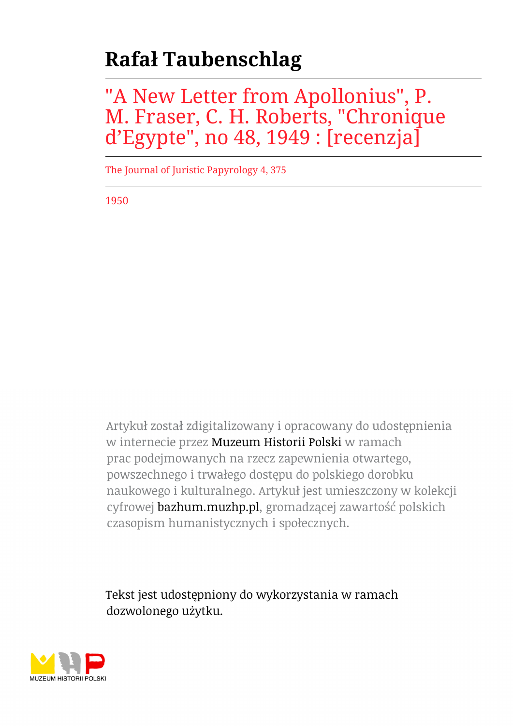# **Rafał Taubenschlag**

## "A New Letter from Apollonius", P. M. Fraser, C. H. Roberts, "Chronique d'Egypte", no 48, 1949 : [recenzja]

The Journal of Juristic Papyrology 4, 375

1950

Artykuł został zdigitalizowany i opracowany do udostępnienia w internecie przez Muzeum Historii Polski w ramach prac podejmowanych na rzecz zapewnienia otwartego, powszechnego i trwałego dostępu do polskiego dorobku naukowego i kulturalnego. Artykuł jest umieszczony w kolekcji cyfrowej bazhum.muzhp.pl, gromadzącej zawartość polskich czasopism humanistycznych i społecznych.

Tekst jest udostępniony do wykorzystania w ramach dozwolonego użytku.